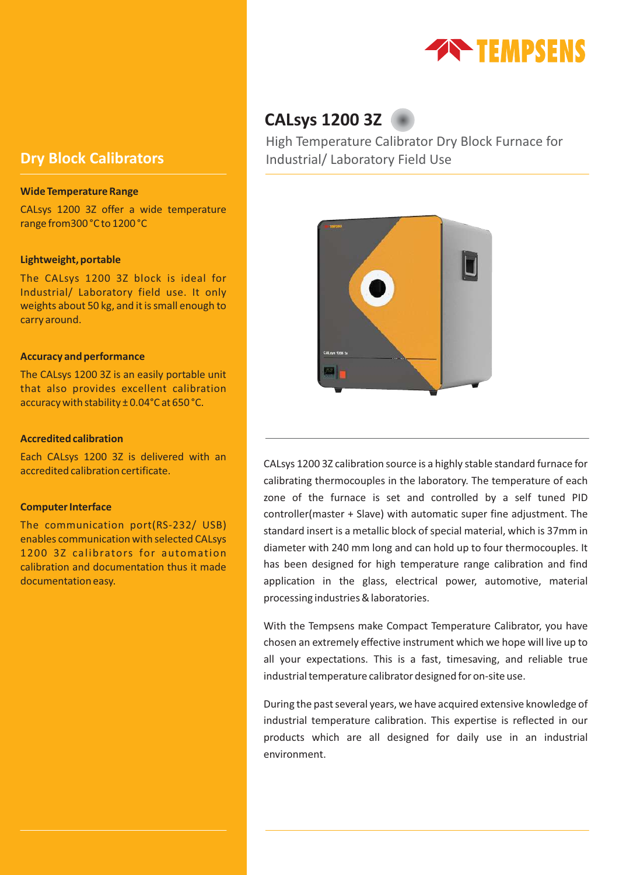

### **Wide Temperature Range**

CALsys 1200 3Z offer a wide temperature range from300 °C to 1200 °C

### **Lightweight, portable**

The CALsys 1200 3Z block is ideal for Industrial/ Laboratory field use. It only weights about 50 kg, and it is small enough to carry around.

### **Accuracy and performance**

The CALsys 1200 3Z is an easily portable unit that also provides excellent calibration accuracy with stability ± 0.04°C at 650 °C.

### **Accredited calibration**

Each CALsys 1200 3Z is delivered with an accredited calibration certificate.

### **Computer Interface**

The communication port(RS-232/ USB) enables communication with selected CALsys 1200 3Z calibrators for automation calibration and documentation thus it made documentation easy.

# **CALsys 1200 3Z**

High Temperature Calibrator Dry Block Furnace for **Dry Block Calibrators Industrial/ Laboratory Field Use** 



CALsys 1200 3Z calibration source is a highly stable standard furnace for calibrating thermocouples in the laboratory. The temperature of each zone of the furnace is set and controlled by a self tuned PID controller(master + Slave) with automatic super fine adjustment. The standard insert is a metallic block of special material, which is 37mm in diameter with 240 mm long and can hold up to four thermocouples. It has been designed for high temperature range calibration and find application in the glass, electrical power, automotive, material processing industries & laboratories.

With the Tempsens make Compact Temperature Calibrator, you have chosen an extremely effective instrument which we hope will live up to all your expectations. This is a fast, timesaving, and reliable true industrial temperature calibrator designed for on-site use.

During the past several years, we have acquired extensive knowledge of industrial temperature calibration. This expertise is reflected in our products which are all designed for daily use in an industrial environment.